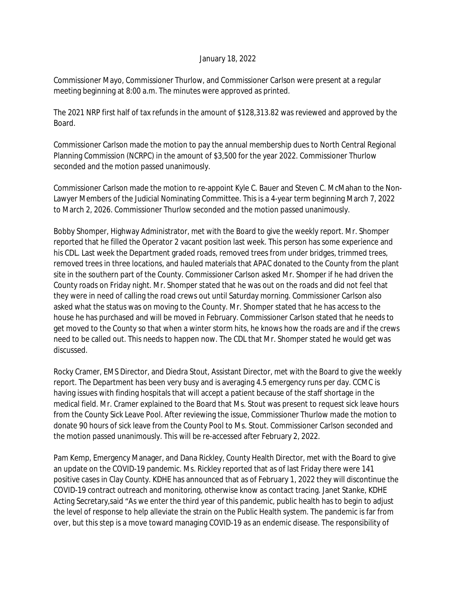## January 18, 2022

Commissioner Mayo, Commissioner Thurlow, and Commissioner Carlson were present at a regular meeting beginning at 8:00 a.m. The minutes were approved as printed.

The 2021 NRP first half of tax refunds in the amount of \$128,313.82 was reviewed and approved by the Board.

Commissioner Carlson made the motion to pay the annual membership dues to North Central Regional Planning Commission (NCRPC) in the amount of \$3,500 for the year 2022. Commissioner Thurlow seconded and the motion passed unanimously.

Commissioner Carlson made the motion to re-appoint Kyle C. Bauer and Steven C. McMahan to the Non-Lawyer Members of the Judicial Nominating Committee. This is a 4-year term beginning March 7, 2022 to March 2, 2026. Commissioner Thurlow seconded and the motion passed unanimously.

Bobby Shomper, Highway Administrator, met with the Board to give the weekly report. Mr. Shomper reported that he filled the Operator 2 vacant position last week. This person has some experience and his CDL. Last week the Department graded roads, removed trees from under bridges, trimmed trees, removed trees in three locations, and hauled materials that APAC donated to the County from the plant site in the southern part of the County. Commissioner Carlson asked Mr. Shomper if he had driven the County roads on Friday night. Mr. Shomper stated that he was out on the roads and did not feel that they were in need of calling the road crews out until Saturday morning. Commissioner Carlson also asked what the status was on moving to the County. Mr. Shomper stated that he has access to the house he has purchased and will be moved in February. Commissioner Carlson stated that he needs to get moved to the County so that when a winter storm hits, he knows how the roads are and if the crews need to be called out. This needs to happen now. The CDL that Mr. Shomper stated he would get was discussed.

Rocky Cramer, EMS Director, and Diedra Stout, Assistant Director, met with the Board to give the weekly report. The Department has been very busy and is averaging 4.5 emergency runs per day. CCMC is having issues with finding hospitals that will accept a patient because of the staff shortage in the medical field. Mr. Cramer explained to the Board that Ms. Stout was present to request sick leave hours from the County Sick Leave Pool. After reviewing the issue, Commissioner Thurlow made the motion to donate 90 hours of sick leave from the County Pool to Ms. Stout. Commissioner Carlson seconded and the motion passed unanimously. This will be re-accessed after February 2, 2022.

Pam Kemp, Emergency Manager, and Dana Rickley, County Health Director, met with the Board to give an update on the COVID-19 pandemic. Ms. Rickley reported that as of last Friday there were 141 positive cases in Clay County. KDHE has announced that as of February 1, 2022 they will discontinue the COVID-19 contract outreach and monitoring, otherwise know as contact tracing. Janet Stanke, KDHE Acting Secretary,said "As we enter the third year of this pandemic, public health has to begin to adjust the level of response to help alleviate the strain on the Public Health system. The pandemic is far from over, but this step is a move toward managing COVID-19 as an endemic disease. The responsibility of